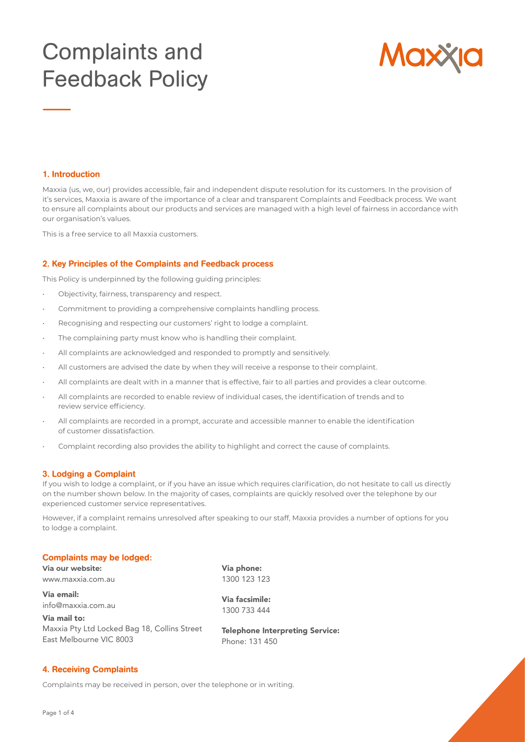# Complaints and Feedback Policy



#### 1. Introduction

Maxxia (us, we, our) provides accessible, fair and independent dispute resolution for its customers. In the provision of it's services, Maxxia is aware of the importance of a clear and transparent Complaints and Feedback process. We want to ensure all complaints about our products and services are managed with a high level of fairness in accordance with our organisation's values.

This is a free service to all Maxxia customers.

### 2. Key Principles of the Complaints and Feedback process

This Policy is underpinned by the following guiding principles:

- Objectivity, fairness, transparency and respect.
- Commitment to providing a comprehensive complaints handling process.
- Recognising and respecting our customers' right to lodge a complaint.
- The complaining party must know who is handling their complaint.
- All complaints are acknowledged and responded to promptly and sensitively.
- All customers are advised the date by when they will receive a response to their complaint.
- All complaints are dealt with in a manner that is effective, fair to all parties and provides a clear outcome.
- All complaints are recorded to enable review of individual cases, the identification of trends and to review service efficiency.
- All complaints are recorded in a prompt, accurate and accessible manner to enable the identification of customer dissatisfaction.
- Complaint recording also provides the ability to highlight and correct the cause of complaints.

#### 3. Lodging a Complaint

If you wish to lodge a complaint, or if you have an issue which requires clarification, do not hesitate to call us directly on the number shown below. In the majority of cases, complaints are quickly resolved over the telephone by our experienced customer service representatives.

However, if a complaint remains unresolved after speaking to our staff, Maxxia provides a number of options for you to lodge a complaint.

#### Complaints may be lodged:

**Via our website:** www.maxxia.com.au

Via email: info@maxxia.com.au

Via mail to: Maxxia Pty Ltd Locked Bag 18, Collins Street East Melbourne VIC 8003

Via phone: 1300 123 123

Via facsimile: 1300 733 444

Telephone Interpreting Service: Phone: 131 450

# 4. Receiving Complaints

Complaints may be received in person, over the telephone or in writing.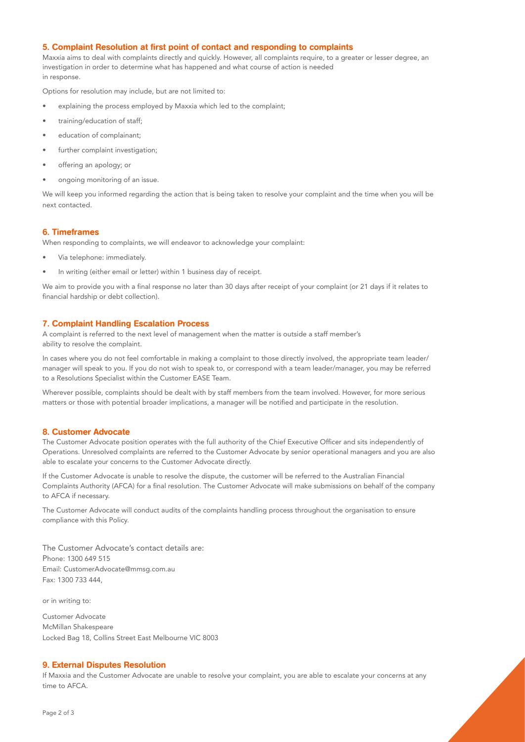## 5. Complaint Resolution at first point of contact and responding to complaints

Maxxia aims to deal with complaints directly and quickly. However, all complaints require, to a greater or lesser degree, an investigation in order to determine what has happened and what course of action is needed in response.

Options for resolution may include, but are not limited to:

- explaining the process employed by Maxxia which led to the complaint;
- training/education of staff;
- education of complainant;
- further complaint investigation;
- offering an apology; or
- ongoing monitoring of an issue.

We will keep you informed regarding the action that is being taken to resolve your complaint and the time when you will be next contacted.

## 6. Timeframes

When responding to complaints, we will endeavor to acknowledge your complaint:

- Via telephone: immediately.
- In writing (either email or letter) within 1 business day of receipt.

We aim to provide you with a final response no later than 30 days after receipt of your complaint (or 21 days if it relates to financial hardship or debt collection).

#### 7. Complaint Handling Escalation Process

A complaint is referred to the next level of management when the matter is outside a staff member's ability to resolve the complaint.

In cases where you do not feel comfortable in making a complaint to those directly involved, the appropriate team leader/ manager will speak to you. If you do not wish to speak to, or correspond with a team leader/manager, you may be referred to a Resolutions Specialist within the Customer EASE Team.

Wherever possible, complaints should be dealt with by staff members from the team involved. However, for more serious matters or those with potential broader implications, a manager will be notified and participate in the resolution.

## 8. Customer Advocate

The Customer Advocate position operates with the full authority of the Chief Executive Officer and sits independently of Operations. Unresolved complaints are referred to the Customer Advocate by senior operational managers and you are also able to escalate your concerns to the Customer Advocate directly.

If the Customer Advocate is unable to resolve the dispute, the customer will be referred to the Australian Financial Complaints Authority (AFCA) for a final resolution. The Customer Advocate will make submissions on behalf of the company to AFCA if necessary.

The Customer Advocate will conduct audits of the complaints handling process throughout the organisation to ensure compliance with this Policy.

The Customer Advocate's contact details are: Phone: 1300 649 515 Email: CustomerAdvocate@mmsg.com.au Fax: 1300 733 444,

or in writing to:

Customer Advocate McMillan Shakespeare Locked Bag 18, Collins Street East Melbourne VIC 8003

#### 9. External Disputes Resolution

If Maxxia and the Customer Advocate are unable to resolve your complaint, you are able to escalate your concerns at any time to AFCA.